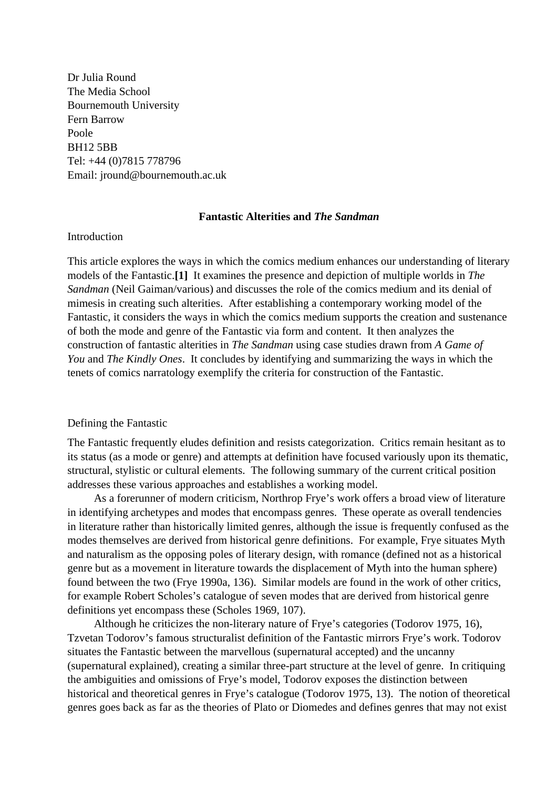Dr Julia Round The Media School Bournemouth University Fern Barrow Poole BH12 5BB Tel: +44 (0)7815 778796 Email: jround@bournemouth.ac.uk

## **Fantastic Alterities and** *The Sandman*

### Introduction

This article explores the ways in which the comics medium enhances our understanding of literary models of the Fantastic.**[1]** It examines the presence and depiction of multiple worlds in *The Sandman* (Neil Gaiman/various) and discusses the role of the comics medium and its denial of mimesis in creating such alterities. After establishing a contemporary working model of the Fantastic, it considers the ways in which the comics medium supports the creation and sustenance of both the mode and genre of the Fantastic via form and content. It then analyzes the construction of fantastic alterities in *The Sandman* using case studies drawn from *A Game of You* and *The Kindly Ones*. It concludes by identifying and summarizing the ways in which the tenets of comics narratology exemplify the criteria for construction of the Fantastic.

#### Defining the Fantastic

The Fantastic frequently eludes definition and resists categorization. Critics remain hesitant as to its status (as a mode or genre) and attempts at definition have focused variously upon its thematic, structural, stylistic or cultural elements. The following summary of the current critical position addresses these various approaches and establishes a working model.

As a forerunner of modern criticism, Northrop Frye's work offers a broad view of literature in identifying archetypes and modes that encompass genres. These operate as overall tendencies in literature rather than historically limited genres, although the issue is frequently confused as the modes themselves are derived from historical genre definitions. For example, Frye situates Myth and naturalism as the opposing poles of literary design, with romance (defined not as a historical genre but as a movement in literature towards the displacement of Myth into the human sphere) found between the two (Frye 1990a, 136). Similar models are found in the work of other critics, for example Robert Scholes's catalogue of seven modes that are derived from historical genre definitions yet encompass these (Scholes 1969, 107).

Although he criticizes the non-literary nature of Frye's categories (Todorov 1975, 16), Tzvetan Todorov's famous structuralist definition of the Fantastic mirrors Frye's work. Todorov situates the Fantastic between the marvellous (supernatural accepted) and the uncanny (supernatural explained), creating a similar three-part structure at the level of genre. In critiquing the ambiguities and omissions of Frye's model, Todorov exposes the distinction between historical and theoretical genres in Frye's catalogue (Todorov 1975, 13). The notion of theoretical genres goes back as far as the theories of Plato or Diomedes and defines genres that may not exist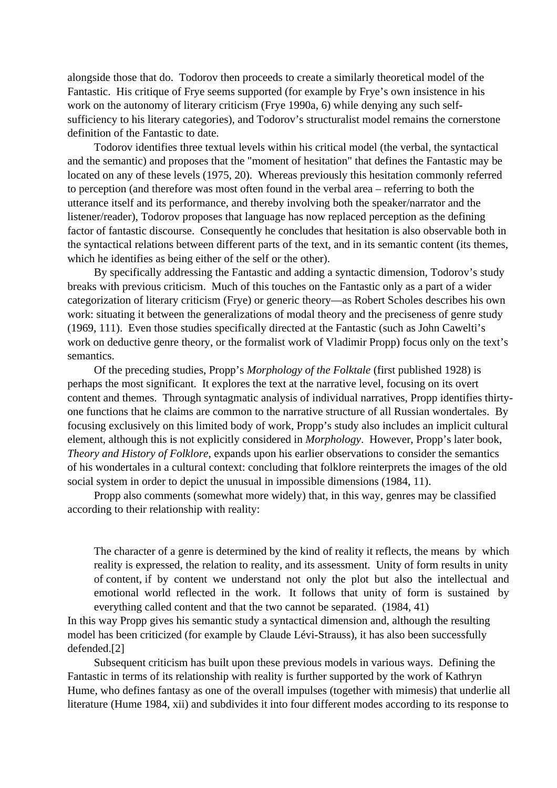alongside those that do. Todorov then proceeds to create a similarly theoretical model of the Fantastic. His critique of Frye seems supported (for example by Frye's own insistence in his work on the autonomy of literary criticism (Frye 1990a, 6) while denying any such selfsufficiency to his literary categories), and Todorov's structuralist model remains the cornerstone definition of the Fantastic to date.

Todorov identifies three textual levels within his critical model (the verbal, the syntactical and the semantic) and proposes that the "moment of hesitation" that defines the Fantastic may be located on any of these levels (1975, 20). Whereas previously this hesitation commonly referred to perception (and therefore was most often found in the verbal area – referring to both the utterance itself and its performance, and thereby involving both the speaker/narrator and the listener/reader), Todorov proposes that language has now replaced perception as the defining factor of fantastic discourse. Consequently he concludes that hesitation is also observable both in the syntactical relations between different parts of the text, and in its semantic content (its themes, which he identifies as being either of the self or the other).

By specifically addressing the Fantastic and adding a syntactic dimension, Todorov's study breaks with previous criticism. Much of this touches on the Fantastic only as a part of a wider categorization of literary criticism (Frye) or generic theory—as Robert Scholes describes his own work: situating it between the generalizations of modal theory and the preciseness of genre study (1969, 111). Even those studies specifically directed at the Fantastic (such as John Cawelti's work on deductive genre theory, or the formalist work of Vladimir Propp) focus only on the text's semantics.

Of the preceding studies, Propp's *Morphology of the Folktale* (first published 1928) is perhaps the most significant. It explores the text at the narrative level, focusing on its overt content and themes. Through syntagmatic analysis of individual narratives, Propp identifies thirtyone functions that he claims are common to the narrative structure of all Russian wondertales. By focusing exclusively on this limited body of work, Propp's study also includes an implicit cultural element, although this is not explicitly considered in *Morphology*. However, Propp's later book, *Theory and History of Folklore*, expands upon his earlier observations to consider the semantics of his wondertales in a cultural context: concluding that folklore reinterprets the images of the old social system in order to depict the unusual in impossible dimensions (1984, 11).

Propp also comments (somewhat more widely) that, in this way, genres may be classified according to their relationship with reality:

The character of a genre is determined by the kind of reality it reflects, the means by which reality is expressed, the relation to reality, and its assessment. Unity of form results in unity of content, if by content we understand not only the plot but also the intellectual and emotional world reflected in the work. It follows that unity of form is sustained by everything called content and that the two cannot be separated. (1984, 41)

In this way Propp gives his semantic study a syntactical dimension and, although the resulting model has been criticized (for example by Claude Lévi-Strauss), it has also been successfully defended.[2]

Subsequent criticism has built upon these previous models in various ways. Defining the Fantastic in terms of its relationship with reality is further supported by the work of Kathryn Hume, who defines fantasy as one of the overall impulses (together with mimesis) that underlie all literature (Hume 1984, xii) and subdivides it into four different modes according to its response to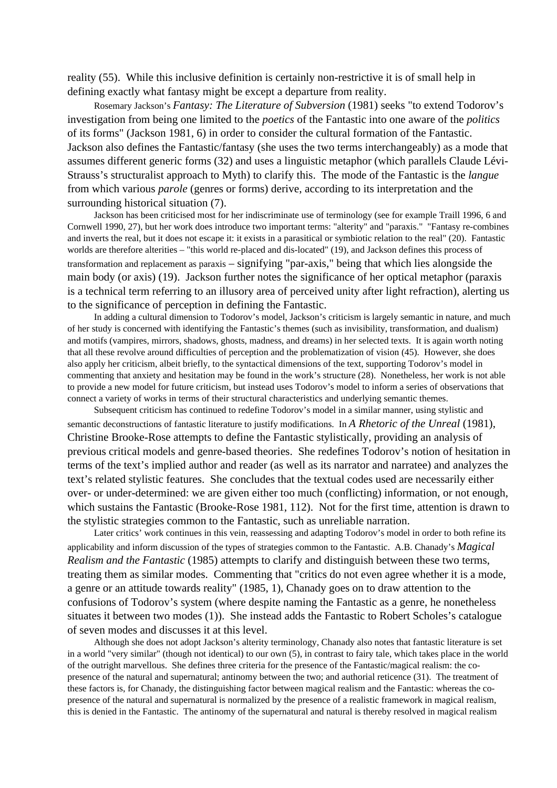reality (55). While this inclusive definition is certainly non-restrictive it is of small help in defining exactly what fantasy might be except a departure from reality.

Rosemary Jackson's *Fantasy: The Literature of Subversion* (1981) seeks "to extend Todorov's investigation from being one limited to the *poetics* of the Fantastic into one aware of the *politics* of its forms" (Jackson 1981, 6) in order to consider the cultural formation of the Fantastic. Jackson also defines the Fantastic/fantasy (she uses the two terms interchangeably) as a mode that assumes different generic forms (32) and uses a linguistic metaphor (which parallels Claude Lévi-Strauss's structuralist approach to Myth) to clarify this. The mode of the Fantastic is the *langue* from which various *parole* (genres or forms) derive, according to its interpretation and the surrounding historical situation (7).

Jackson has been criticised most for her indiscriminate use of terminology (see for example Traill 1996, 6 and Cornwell 1990, 27), but her work does introduce two important terms: "alterity" and "paraxis." "Fantasy re-combines and inverts the real, but it does not escape it: it exists in a parasitical or symbiotic relation to the real" (20). Fantastic worlds are therefore alterities – "this world re-placed and dis-located" (19), and Jackson defines this process of transformation and replacement as paraxis – signifying "par-axis," being that which lies alongside the main body (or axis) (19). Jackson further notes the significance of her optical metaphor (paraxis is a technical term referring to an illusory area of perceived unity after light refraction), alerting us to the significance of perception in defining the Fantastic.

In adding a cultural dimension to Todorov's model, Jackson's criticism is largely semantic in nature, and much of her study is concerned with identifying the Fantastic's themes (such as invisibility, transformation, and dualism) and motifs (vampires, mirrors, shadows, ghosts, madness, and dreams) in her selected texts. It is again worth noting that all these revolve around difficulties of perception and the problematization of vision (45). However, she does also apply her criticism, albeit briefly, to the syntactical dimensions of the text, supporting Todorov's model in commenting that anxiety and hesitation may be found in the work's structure (28). Nonetheless, her work is not able to provide a new model for future criticism, but instead uses Todorov's model to inform a series of observations that connect a variety of works in terms of their structural characteristics and underlying semantic themes.

Subsequent criticism has continued to redefine Todorov's model in a similar manner, using stylistic and semantic deconstructions of fantastic literature to justify modifications. In *A Rhetoric of the Unreal* (1981), Christine Brooke-Rose attempts to define the Fantastic stylistically, providing an analysis of previous critical models and genre-based theories. She redefines Todorov's notion of hesitation in terms of the text's implied author and reader (as well as its narrator and narratee) and analyzes the text's related stylistic features. She concludes that the textual codes used are necessarily either over- or under-determined: we are given either too much (conflicting) information, or not enough, which sustains the Fantastic (Brooke-Rose 1981, 112). Not for the first time, attention is drawn to the stylistic strategies common to the Fantastic, such as unreliable narration.

Later critics' work continues in this vein, reassessing and adapting Todorov's model in order to both refine its applicability and inform discussion of the types of strategies common to the Fantastic. A.B. Chanady's *Magical Realism and the Fantastic* (1985) attempts to clarify and distinguish between these two terms, treating them as similar modes. Commenting that "critics do not even agree whether it is a mode, a genre or an attitude towards reality" (1985, 1), Chanady goes on to draw attention to the confusions of Todorov's system (where despite naming the Fantastic as a genre, he nonetheless situates it between two modes (1)). She instead adds the Fantastic to Robert Scholes's catalogue of seven modes and discusses it at this level.

Although she does not adopt Jackson's alterity terminology, Chanady also notes that fantastic literature is set in a world "very similar" (though not identical) to our own (5), in contrast to fairy tale, which takes place in the world of the outright marvellous. She defines three criteria for the presence of the Fantastic/magical realism: the copresence of the natural and supernatural; antinomy between the two; and authorial reticence (31). The treatment of these factors is, for Chanady, the distinguishing factor between magical realism and the Fantastic: whereas the copresence of the natural and supernatural is normalized by the presence of a realistic framework in magical realism, this is denied in the Fantastic. The antinomy of the supernatural and natural is thereby resolved in magical realism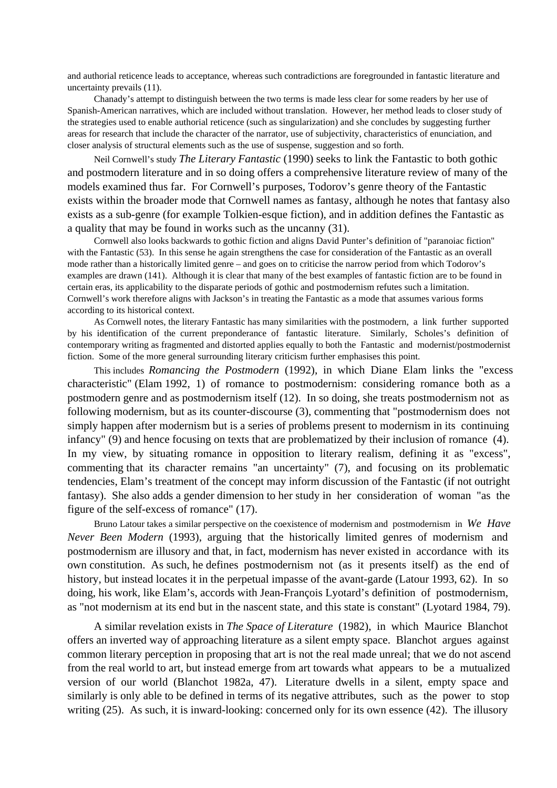and authorial reticence leads to acceptance, whereas such contradictions are foregrounded in fantastic literature and uncertainty prevails (11).

Chanady's attempt to distinguish between the two terms is made less clear for some readers by her use of Spanish-American narratives, which are included without translation. However, her method leads to closer study of the strategies used to enable authorial reticence (such as singularization) and she concludes by suggesting further areas for research that include the character of the narrator, use of subjectivity, characteristics of enunciation, and closer analysis of structural elements such as the use of suspense, suggestion and so forth.

Neil Cornwell's study *The Literary Fantastic* (1990) seeks to link the Fantastic to both gothic and postmodern literature and in so doing offers a comprehensive literature review of many of the models examined thus far. For Cornwell's purposes, Todorov's genre theory of the Fantastic exists within the broader mode that Cornwell names as fantasy, although he notes that fantasy also exists as a sub-genre (for example Tolkien-esque fiction), and in addition defines the Fantastic as a quality that may be found in works such as the uncanny (31).

Cornwell also looks backwards to gothic fiction and aligns David Punter's definition of "paranoiac fiction" with the Fantastic (53). In this sense he again strengthens the case for consideration of the Fantastic as an overall mode rather than a historically limited genre – and goes on to criticise the narrow period from which Todorov's examples are drawn (141). Although it is clear that many of the best examples of fantastic fiction are to be found in certain eras, its applicability to the disparate periods of gothic and postmodernism refutes such a limitation. Cornwell's work therefore aligns with Jackson's in treating the Fantastic as a mode that assumes various forms according to its historical context.

As Cornwell notes, the literary Fantastic has many similarities with the postmodern, a link further supported by his identification of the current preponderance of fantastic literature. Similarly, Scholes's definition of contemporary writing as fragmented and distorted applies equally to both the Fantastic and modernist/postmodernist fiction. Some of the more general surrounding literary criticism further emphasises this point.

This includes *Romancing the Postmodern* (1992), in which Diane Elam links the "excess characteristic" (Elam 1992, 1) of romance to postmodernism: considering romance both as a postmodern genre and as postmodernism itself (12). In so doing, she treats postmodernism not as following modernism, but as its counter-discourse (3), commenting that "postmodernism does not simply happen after modernism but is a series of problems present to modernism in its continuing infancy" (9) and hence focusing on texts that are problematized by their inclusion of romance (4). In my view, by situating romance in opposition to literary realism, defining it as "excess", commenting that its character remains "an uncertainty" (7), and focusing on its problematic tendencies, Elam's treatment of the concept may inform discussion of the Fantastic (if not outright fantasy). She also adds a gender dimension to her study in her consideration of woman "as the figure of the self-excess of romance" (17).

Bruno Latour takes a similar perspective on the coexistence of modernism and postmodernism in *We Have Never Been Modern* (1993), arguing that the historically limited genres of modernism and postmodernism are illusory and that, in fact, modernism has never existed in accordance with its own constitution. As such, he defines postmodernism not (as it presents itself) as the end of history, but instead locates it in the perpetual impasse of the avant-garde (Latour 1993, 62). In so doing, his work, like Elam's, accords with Jean-François Lyotard's definition of postmodernism, as "not modernism at its end but in the nascent state, and this state is constant" (Lyotard 1984, 79).

A similar revelation exists in *The Space of Literature* (1982), in which Maurice Blanchot offers an inverted way of approaching literature as a silent empty space. Blanchot argues against common literary perception in proposing that art is not the real made unreal; that we do not ascend from the real world to art, but instead emerge from art towards what appears to be a mutualized version of our world (Blanchot 1982a, 47). Literature dwells in a silent, empty space and similarly is only able to be defined in terms of its negative attributes, such as the power to stop writing (25). As such, it is inward-looking: concerned only for its own essence (42). The illusory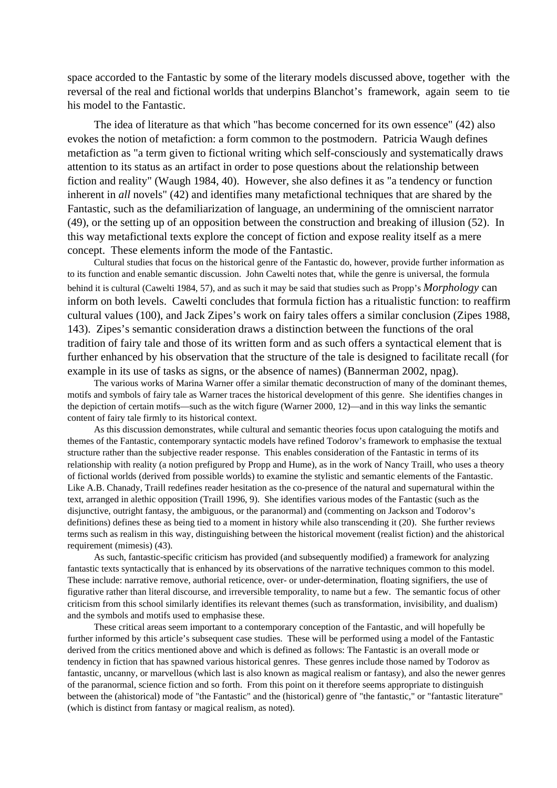space accorded to the Fantastic by some of the literary models discussed above, together with the reversal of the real and fictional worlds that underpins Blanchot's framework, again seem to tie his model to the Fantastic.

The idea of literature as that which "has become concerned for its own essence" (42) also evokes the notion of metafiction: a form common to the postmodern. Patricia Waugh defines metafiction as "a term given to fictional writing which self-consciously and systematically draws attention to its status as an artifact in order to pose questions about the relationship between fiction and reality" (Waugh 1984, 40). However, she also defines it as "a tendency or function inherent in *all* novels" (42) and identifies many metafictional techniques that are shared by the Fantastic, such as the defamiliarization of language, an undermining of the omniscient narrator (49), or the setting up of an opposition between the construction and breaking of illusion (52). In this way metafictional texts explore the concept of fiction and expose reality itself as a mere concept. These elements inform the mode of the Fantastic.

Cultural studies that focus on the historical genre of the Fantastic do, however, provide further information as to its function and enable semantic discussion. John Cawelti notes that, while the genre is universal, the formula behind it is cultural (Cawelti 1984, 57), and as such it may be said that studies such as Propp's *Morphology* can inform on both levels. Cawelti concludes that formula fiction has a ritualistic function: to reaffirm cultural values (100), and Jack Zipes's work on fairy tales offers a similar conclusion (Zipes 1988, 143). Zipes's semantic consideration draws a distinction between the functions of the oral tradition of fairy tale and those of its written form and as such offers a syntactical element that is further enhanced by his observation that the structure of the tale is designed to facilitate recall (for example in its use of tasks as signs, or the absence of names) (Bannerman 2002, npag).

The various works of Marina Warner offer a similar thematic deconstruction of many of the dominant themes, motifs and symbols of fairy tale as Warner traces the historical development of this genre. She identifies changes in the depiction of certain motifs—such as the witch figure (Warner 2000, 12)—and in this way links the semantic content of fairy tale firmly to its historical context.

As this discussion demonstrates, while cultural and semantic theories focus upon cataloguing the motifs and themes of the Fantastic, contemporary syntactic models have refined Todorov's framework to emphasise the textual structure rather than the subjective reader response. This enables consideration of the Fantastic in terms of its relationship with reality (a notion prefigured by Propp and Hume), as in the work of Nancy Traill, who uses a theory of fictional worlds (derived from possible worlds) to examine the stylistic and semantic elements of the Fantastic. Like A.B. Chanady, Traill redefines reader hesitation as the co-presence of the natural and supernatural within the text, arranged in alethic opposition (Traill 1996, 9). She identifies various modes of the Fantastic (such as the disjunctive, outright fantasy, the ambiguous, or the paranormal) and (commenting on Jackson and Todorov's definitions) defines these as being tied to a moment in history while also transcending it (20). She further reviews terms such as realism in this way, distinguishing between the historical movement (realist fiction) and the ahistorical requirement (mimesis) (43).

As such, fantastic-specific criticism has provided (and subsequently modified) a framework for analyzing fantastic texts syntactically that is enhanced by its observations of the narrative techniques common to this model. These include: narrative remove, authorial reticence, over- or under-determination, floating signifiers, the use of figurative rather than literal discourse, and irreversible temporality, to name but a few. The semantic focus of other criticism from this school similarly identifies its relevant themes (such as transformation, invisibility, and dualism) and the symbols and motifs used to emphasise these.

These critical areas seem important to a contemporary conception of the Fantastic, and will hopefully be further informed by this article's subsequent case studies. These will be performed using a model of the Fantastic derived from the critics mentioned above and which is defined as follows: The Fantastic is an overall mode or tendency in fiction that has spawned various historical genres. These genres include those named by Todorov as fantastic, uncanny, or marvellous (which last is also known as magical realism or fantasy), and also the newer genres of the paranormal, science fiction and so forth. From this point on it therefore seems appropriate to distinguish between the (ahistorical) mode of "the Fantastic" and the (historical) genre of "the fantastic," or "fantastic literature" (which is distinct from fantasy or magical realism, as noted).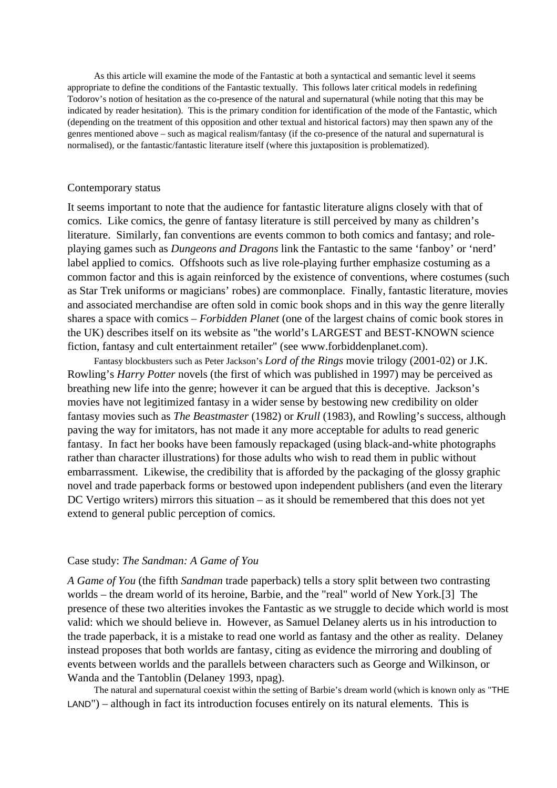As this article will examine the mode of the Fantastic at both a syntactical and semantic level it seems appropriate to define the conditions of the Fantastic textually. This follows later critical models in redefining Todorov's notion of hesitation as the co-presence of the natural and supernatural (while noting that this may be indicated by reader hesitation). This is the primary condition for identification of the mode of the Fantastic, which (depending on the treatment of this opposition and other textual and historical factors) may then spawn any of the genres mentioned above – such as magical realism/fantasy (if the co-presence of the natural and supernatural is normalised), or the fantastic/fantastic literature itself (where this juxtaposition is problematized).

#### Contemporary status

It seems important to note that the audience for fantastic literature aligns closely with that of comics. Like comics, the genre of fantasy literature is still perceived by many as children's literature. Similarly, fan conventions are events common to both comics and fantasy; and roleplaying games such as *Dungeons and Dragons* link the Fantastic to the same 'fanboy' or 'nerd' label applied to comics. Offshoots such as live role-playing further emphasize costuming as a common factor and this is again reinforced by the existence of conventions, where costumes (such as Star Trek uniforms or magicians' robes) are commonplace. Finally, fantastic literature, movies and associated merchandise are often sold in comic book shops and in this way the genre literally shares a space with comics – *Forbidden Planet* (one of the largest chains of comic book stores in the UK) describes itself on its website as "the world's LARGEST and BEST-KNOWN science fiction, fantasy and cult entertainment retailer" (see www.forbiddenplanet.com).

Fantasy blockbusters such as Peter Jackson's *Lord of the Rings* movie trilogy (2001-02) or J.K. Rowling's *Harry Potter* novels (the first of which was published in 1997) may be perceived as breathing new life into the genre; however it can be argued that this is deceptive. Jackson's movies have not legitimized fantasy in a wider sense by bestowing new credibility on older fantasy movies such as *The Beastmaster* (1982) or *Krull* (1983), and Rowling's success, although paving the way for imitators, has not made it any more acceptable for adults to read generic fantasy. In fact her books have been famously repackaged (using black-and-white photographs rather than character illustrations) for those adults who wish to read them in public without embarrassment. Likewise, the credibility that is afforded by the packaging of the glossy graphic novel and trade paperback forms or bestowed upon independent publishers (and even the literary DC Vertigo writers) mirrors this situation – as it should be remembered that this does not yet extend to general public perception of comics.

## Case study: *The Sandman: A Game of You*

*A Game of You* (the fifth *Sandman* trade paperback) tells a story split between two contrasting worlds – the dream world of its heroine, Barbie, and the "real" world of New York.[3] The presence of these two alterities invokes the Fantastic as we struggle to decide which world is most valid: which we should believe in. However, as Samuel Delaney alerts us in his introduction to the trade paperback, it is a mistake to read one world as fantasy and the other as reality. Delaney instead proposes that both worlds are fantasy, citing as evidence the mirroring and doubling of events between worlds and the parallels between characters such as George and Wilkinson, or Wanda and the Tantoblin (Delaney 1993, npag).

The natural and supernatural coexist within the setting of Barbie's dream world (which is known only as "THE LAND") – although in fact its introduction focuses entirely on its natural elements. This is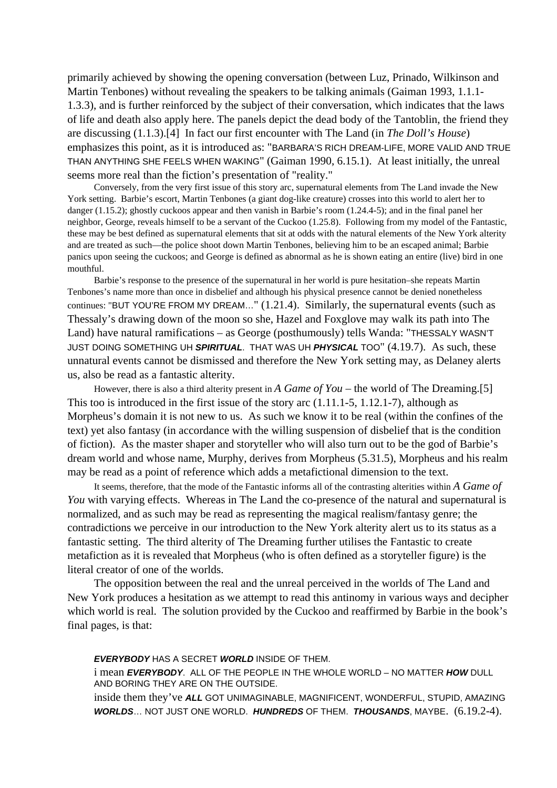primarily achieved by showing the opening conversation (between Luz, Prinado, Wilkinson and Martin Tenbones) without revealing the speakers to be talking animals (Gaiman 1993, 1.1.1- 1.3.3), and is further reinforced by the subject of their conversation, which indicates that the laws of life and death also apply here. The panels depict the dead body of the Tantoblin, the friend they are discussing (1.1.3).[4] In fact our first encounter with The Land (in *The Doll's House*) emphasizes this point, as it is introduced as: "BARBARA'S RICH DREAM-LIFE, MORE VALID AND TRUE THAN ANYTHING SHE FEELS WHEN WAKING" (Gaiman 1990, 6.15.1). At least initially, the unreal seems more real than the fiction's presentation of "reality."

Conversely, from the very first issue of this story arc, supernatural elements from The Land invade the New York setting. Barbie's escort, Martin Tenbones (a giant dog-like creature) crosses into this world to alert her to danger (1.15.2); ghostly cuckoos appear and then vanish in Barbie's room (1.24.4-5); and in the final panel her neighbor, George, reveals himself to be a servant of the Cuckoo (1.25.8). Following from my model of the Fantastic, these may be best defined as supernatural elements that sit at odds with the natural elements of the New York alterity and are treated as such—the police shoot down Martin Tenbones, believing him to be an escaped animal; Barbie panics upon seeing the cuckoos; and George is defined as abnormal as he is shown eating an entire (live) bird in one mouthful.

Barbie's response to the presence of the supernatural in her world is pure hesitation–she repeats Martin Tenbones's name more than once in disbelief and although his physical presence cannot be denied nonetheless continues: "BUT YOU'RE FROM MY DREAM…" (1.21.4). Similarly, the supernatural events (such as Thessaly's drawing down of the moon so she, Hazel and Foxglove may walk its path into The Land) have natural ramifications – as George (posthumously) tells Wanda: "THESSALY WASN'T JUST DOING SOMETHING UH **SPIRITUAL**. THAT WAS UH **PHYSICAL** TOO" (4.19.7). As such, these unnatural events cannot be dismissed and therefore the New York setting may, as Delaney alerts us, also be read as a fantastic alterity.

However, there is also a third alterity present in *A Game of You* – the world of The Dreaming.[5] This too is introduced in the first issue of the story arc (1.11.1-5, 1.12.1-7), although as Morpheus's domain it is not new to us. As such we know it to be real (within the confines of the text) yet also fantasy (in accordance with the willing suspension of disbelief that is the condition of fiction). As the master shaper and storyteller who will also turn out to be the god of Barbie's dream world and whose name, Murphy, derives from Morpheus (5.31.5), Morpheus and his realm may be read as a point of reference which adds a metafictional dimension to the text.

It seems, therefore, that the mode of the Fantastic informs all of the contrasting alterities within *A Game of You* with varying effects. Whereas in The Land the co-presence of the natural and supernatural is normalized, and as such may be read as representing the magical realism/fantasy genre; the contradictions we perceive in our introduction to the New York alterity alert us to its status as a fantastic setting. The third alterity of The Dreaming further utilises the Fantastic to create metafiction as it is revealed that Morpheus (who is often defined as a storyteller figure) is the literal creator of one of the worlds.

The opposition between the real and the unreal perceived in the worlds of The Land and New York produces a hesitation as we attempt to read this antinomy in various ways and decipher which world is real. The solution provided by the Cuckoo and reaffirmed by Barbie in the book's final pages, is that:

**EVERYBODY** HAS A SECRET **WORLD** INSIDE OF THEM.

i mean **EVERYBODY**. ALL OF THE PEOPLE IN THE WHOLE WORLD – NO MATTER **HOW** DULL AND BORING THEY ARE ON THE OUTSIDE.

inside them they've **ALL** GOT UNIMAGINABLE, MAGNIFICENT, WONDERFUL, STUPID, AMAZING **WORLDS**… NOT JUST ONE WORLD. **HUNDREDS** OF THEM. **THOUSANDS**, MAYBE. (6.19.2-4).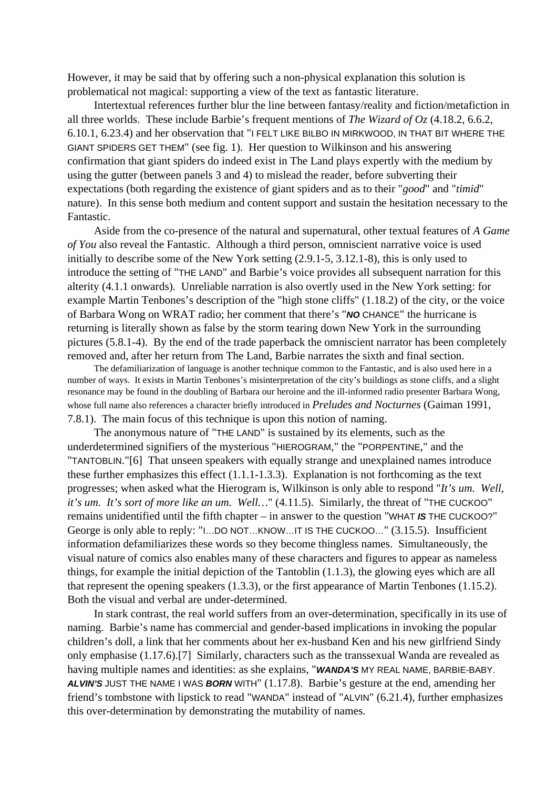However, it may be said that by offering such a non-physical explanation this solution is problematical not magical: supporting a view of the text as fantastic literature.

Intertextual references further blur the line between fantasy/reality and fiction/metafiction in all three worlds. These include Barbie's frequent mentions of *The Wizard of Oz* (4.18.2, 6.6.2, 6.10.1, 6.23.4) and her observation that "I FELT LIKE BILBO IN MIRKWOOD, IN THAT BIT WHERE THE GIANT SPIDERS GET THEM" (see fig. 1). Her question to Wilkinson and his answering confirmation that giant spiders do indeed exist in The Land plays expertly with the medium by using the gutter (between panels 3 and 4) to mislead the reader, before subverting their expectations (both regarding the existence of giant spiders and as to their "*good*" and "*timid*" nature). In this sense both medium and content support and sustain the hesitation necessary to the Fantastic.

Aside from the co-presence of the natural and supernatural, other textual features of *A Game of You* also reveal the Fantastic. Although a third person, omniscient narrative voice is used initially to describe some of the New York setting (2.9.1-5, 3.12.1-8), this is only used to introduce the setting of "THE LAND" and Barbie's voice provides all subsequent narration for this alterity (4.1.1 onwards). Unreliable narration is also overtly used in the New York setting: for example Martin Tenbones's description of the "high stone cliffs" (1.18.2) of the city, or the voice of Barbara Wong on WRAT radio; her comment that there's "**NO** CHANCE" the hurricane is returning is literally shown as false by the storm tearing down New York in the surrounding pictures (5.8.1-4). By the end of the trade paperback the omniscient narrator has been completely removed and, after her return from The Land, Barbie narrates the sixth and final section.

The defamiliarization of language is another technique common to the Fantastic, and is also used here in a number of ways. It exists in Martin Tenbones's misinterpretation of the city's buildings as stone cliffs, and a slight resonance may be found in the doubling of Barbara our heroine and the ill-informed radio presenter Barbara Wong, whose full name also references a character briefly introduced in *Preludes and Nocturnes* (Gaiman 1991, 7.8.1). The main focus of this technique is upon this notion of naming.

The anonymous nature of "THE LAND" is sustained by its elements, such as the underdetermined signifiers of the mysterious "HIEROGRAM," the "PORPENTINE," and the "TANTOBLIN."[6] That unseen speakers with equally strange and unexplained names introduce these further emphasizes this effect (1.1.1-1.3.3). Explanation is not forthcoming as the text progresses; when asked what the Hierogram is, Wilkinson is only able to respond "*It's um. Well, it's um. It's sort of more like an um. Well…*" (4.11.5). Similarly, the threat of "THE CUCKOO" remains unidentified until the fifth chapter – in answer to the question "WHAT **IS** THE CUCKOO?" George is only able to reply: "I…DO NOT…KNOW…IT IS THE CUCKOO…" (3.15.5). Insufficient information defamiliarizes these words so they become thingless names. Simultaneously, the visual nature of comics also enables many of these characters and figures to appear as nameless things, for example the initial depiction of the Tantoblin (1.1.3), the glowing eyes which are all that represent the opening speakers (1.3.3), or the first appearance of Martin Tenbones (1.15.2). Both the visual and verbal are under-determined.

In stark contrast, the real world suffers from an over-determination, specifically in its use of naming. Barbie's name has commercial and gender-based implications in invoking the popular children's doll, a link that her comments about her ex-husband Ken and his new girlfriend Sindy only emphasise (1.17.6).[7] Similarly, characters such as the transsexual Wanda are revealed as having multiple names and identities: as she explains, "**WANDA'S** MY REAL NAME, BARBIE-BABY. **ALVIN'S** JUST THE NAME I WAS **BORN** WITH" (1.17.8). Barbie's gesture at the end, amending her friend's tombstone with lipstick to read "WANDA" instead of "ALVIN" (6.21.4), further emphasizes this over-determination by demonstrating the mutability of names.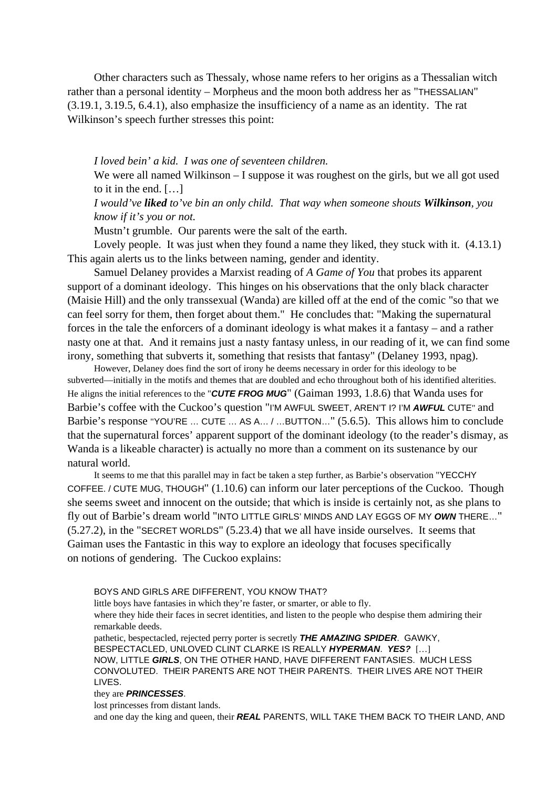Other characters such as Thessaly, whose name refers to her origins as a Thessalian witch rather than a personal identity – Morpheus and the moon both address her as "THESSALIAN" (3.19.1, 3.19.5, 6.4.1), also emphasize the insufficiency of a name as an identity. The rat Wilkinson's speech further stresses this point:

*I loved bein' a kid. I was one of seventeen children.*

We were all named Wilkinson – I suppose it was roughest on the girls, but we all got used to it in the end. […]

*I would've liked to've bin an only child. That way when someone shouts Wilkinson, you know if it's you or not.*

Mustn't grumble. Our parents were the salt of the earth.

Lovely people. It was just when they found a name they liked, they stuck with it. (4.13.1) This again alerts us to the links between naming, gender and identity.

Samuel Delaney provides a Marxist reading of *A Game of You* that probes its apparent support of a dominant ideology. This hinges on his observations that the only black character (Maisie Hill) and the only transsexual (Wanda) are killed off at the end of the comic "so that we can feel sorry for them, then forget about them." He concludes that: "Making the supernatural forces in the tale the enforcers of a dominant ideology is what makes it a fantasy – and a rather nasty one at that. And it remains just a nasty fantasy unless, in our reading of it, we can find some irony, something that subverts it, something that resists that fantasy" (Delaney 1993, npag).

However, Delaney does find the sort of irony he deems necessary in order for this ideology to be subverted—initially in the motifs and themes that are doubled and echo throughout both of his identified alterities. He aligns the initial references to the "**CUTE FROG MUG**" (Gaiman 1993, 1.8.6) that Wanda uses for Barbie's coffee with the Cuckoo's question "I'M AWFUL SWEET, AREN'T I? I'M **AWFUL** CUTE" and Barbie's response "YOU'RE … CUTE … AS A… / …BUTTON…" (5.6.5). This allows him to conclude that the supernatural forces' apparent support of the dominant ideology (to the reader's dismay, as Wanda is a likeable character) is actually no more than a comment on its sustenance by our natural world.

It seems to me that this parallel may in fact be taken a step further, as Barbie's observation "YECCHY COFFEE. / CUTE MUG, THOUGH" (1.10.6) can inform our later perceptions of the Cuckoo. Though she seems sweet and innocent on the outside; that which is inside is certainly not, as she plans to fly out of Barbie's dream world "INTO LITTLE GIRLS' MINDS AND LAY EGGS OF MY **OWN** THERE…" (5.27.2), in the "SECRET WORLDS" (5.23.4) that we all have inside ourselves. It seems that Gaiman uses the Fantastic in this way to explore an ideology that focuses specifically on notions of gendering. The Cuckoo explains:

BOYS AND GIRLS ARE DIFFERENT, YOU KNOW THAT?

little boys have fantasies in which they're faster, or smarter, or able to fly.

where they hide their faces in secret identities, and listen to the people who despise them admiring their remarkable deeds.

pathetic, bespectacled, rejected perry porter is secretly **THE AMAZING SPIDER**. GAWKY, BESPECTACLED, UNLOVED CLINT CLARKE IS REALLY **HYPERMAN**. **YES?** […] NOW, LITTLE **GIRLS**, ON THE OTHER HAND, HAVE DIFFERENT FANTASIES. MUCH LESS CONVOLUTED. THEIR PARENTS ARE NOT THEIR PARENTS. THEIR LIVES ARE NOT THEIR LIVES.

#### they are **PRINCESSES**.

lost princesses from distant lands.

and one day the king and queen, their **REAL** PARENTS, WILL TAKE THEM BACK TO THEIR LAND, AND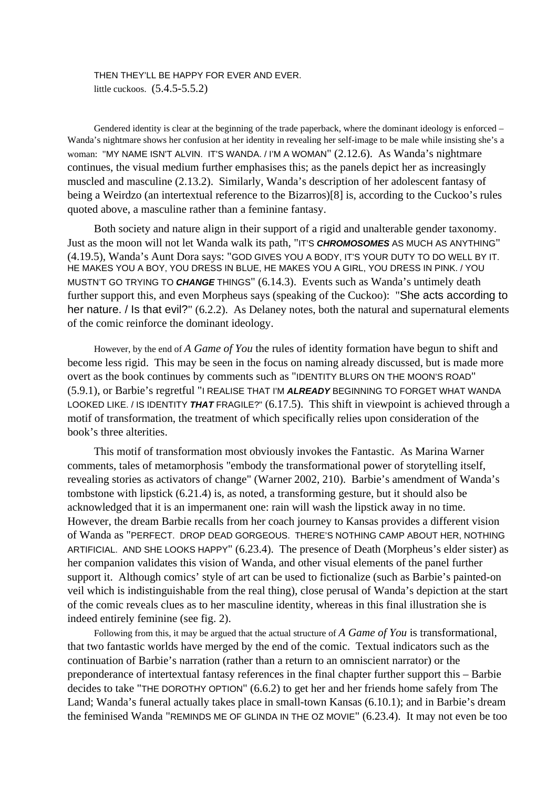THEN THEY'LL BE HAPPY FOR EVER AND EVER. little cuckoos. (5.4.5-5.5.2)

Gendered identity is clear at the beginning of the trade paperback, where the dominant ideology is enforced – Wanda's nightmare shows her confusion at her identity in revealing her self-image to be male while insisting she's a woman: "MY NAME ISN'T ALVIN. IT'S WANDA. / I'M A WOMAN" (2.12.6). As Wanda's nightmare continues, the visual medium further emphasises this; as the panels depict her as increasingly muscled and masculine (2.13.2). Similarly, Wanda's description of her adolescent fantasy of being a Weirdzo (an intertextual reference to the Bizarros)[8] is, according to the Cuckoo's rules quoted above, a masculine rather than a feminine fantasy.

Both society and nature align in their support of a rigid and unalterable gender taxonomy. Just as the moon will not let Wanda walk its path, "IT'S **CHROMOSOMES** AS MUCH AS ANYTHING" (4.19.5), Wanda's Aunt Dora says: "GOD GIVES YOU A BODY, IT'S YOUR DUTY TO DO WELL BY IT. HE MAKES YOU A BOY, YOU DRESS IN BLUE, HE MAKES YOU A GIRL, YOU DRESS IN PINK. / YOU MUSTN'T GO TRYING TO **CHANGE** THINGS" (6.14.3). Events such as Wanda's untimely death further support this, and even Morpheus says (speaking of the Cuckoo): "She acts according to her nature. / Is that evil?" (6.2.2). As Delaney notes, both the natural and supernatural elements of the comic reinforce the dominant ideology.

However, by the end of *A Game of You* the rules of identity formation have begun to shift and become less rigid. This may be seen in the focus on naming already discussed, but is made more overt as the book continues by comments such as "IDENTITY BLURS ON THE MOON'S ROAD" (5.9.1), or Barbie's regretful "I REALISE THAT I'M **ALREADY** BEGINNING TO FORGET WHAT WANDA LOOKED LIKE. / IS IDENTITY **THAT** FRAGILE?" (6.17.5). This shift in viewpoint is achieved through a motif of transformation, the treatment of which specifically relies upon consideration of the book's three alterities.

This motif of transformation most obviously invokes the Fantastic. As Marina Warner comments, tales of metamorphosis "embody the transformational power of storytelling itself, revealing stories as activators of change" (Warner 2002, 210). Barbie's amendment of Wanda's tombstone with lipstick (6.21.4) is, as noted, a transforming gesture, but it should also be acknowledged that it is an impermanent one: rain will wash the lipstick away in no time. However, the dream Barbie recalls from her coach journey to Kansas provides a different vision of Wanda as "PERFECT. DROP DEAD GORGEOUS. THERE'S NOTHING CAMP ABOUT HER, NOTHING ARTIFICIAL. AND SHE LOOKS HAPPY" (6.23.4). The presence of Death (Morpheus's elder sister) as her companion validates this vision of Wanda, and other visual elements of the panel further support it. Although comics' style of art can be used to fictionalize (such as Barbie's painted-on veil which is indistinguishable from the real thing), close perusal of Wanda's depiction at the start of the comic reveals clues as to her masculine identity, whereas in this final illustration she is indeed entirely feminine (see fig. 2).

Following from this, it may be argued that the actual structure of *A Game of You* is transformational, that two fantastic worlds have merged by the end of the comic. Textual indicators such as the continuation of Barbie's narration (rather than a return to an omniscient narrator) or the preponderance of intertextual fantasy references in the final chapter further support this – Barbie decides to take "THE DOROTHY OPTION" (6.6.2) to get her and her friends home safely from The Land; Wanda's funeral actually takes place in small-town Kansas (6.10.1); and in Barbie's dream the feminised Wanda "REMINDS ME OF GLINDA IN THE OZ MOVIE" (6.23.4). It may not even be too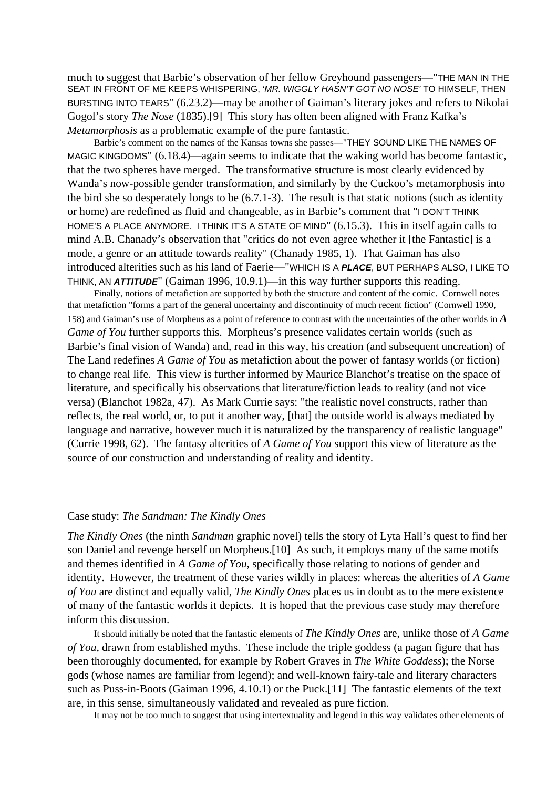much to suggest that Barbie's observation of her fellow Greyhound passengers—"THE MAN IN THE SEAT IN FRONT OF ME KEEPS WHISPERING, 'MR. WIGGLY HASN'T GOT NO NOSE' TO HIMSELF, THEN BURSTING INTO TEARS" (6.23.2)—may be another of Gaiman's literary jokes and refers to Nikolai Gogol's story *The Nose* (1835).[9] This story has often been aligned with Franz Kafka's *Metamorphosis* as a problematic example of the pure fantastic.

Barbie's comment on the names of the Kansas towns she passes—"THEY SOUND LIKE THE NAMES OF MAGIC KINGDOMS" (6.18.4)—again seems to indicate that the waking world has become fantastic, that the two spheres have merged. The transformative structure is most clearly evidenced by Wanda's now-possible gender transformation, and similarly by the Cuckoo's metamorphosis into the bird she so desperately longs to be (6.7.1-3). The result is that static notions (such as identity or home) are redefined as fluid and changeable, as in Barbie's comment that "I DON'T THINK HOME'S A PLACE ANYMORE. I THINK IT'S A STATE OF MIND" (6.15.3). This in itself again calls to mind A.B. Chanady's observation that "critics do not even agree whether it [the Fantastic] is a mode, a genre or an attitude towards reality" (Chanady 1985, 1). That Gaiman has also introduced alterities such as his land of Faerie—"WHICH IS A **PLACE**, BUT PERHAPS ALSO, I LIKE TO THINK, AN **ATTITUDE**" (Gaiman 1996, 10.9.1)—in this way further supports this reading.

Finally, notions of metafiction are supported by both the structure and content of the comic. Cornwell notes that metafiction "forms a part of the general uncertainty and discontinuity of much recent fiction" (Cornwell 1990, 158) and Gaiman's use of Morpheus as a point of reference to contrast with the uncertainties of the other worlds in *A Game of You* further supports this. Morpheus's presence validates certain worlds (such as Barbie's final vision of Wanda) and, read in this way, his creation (and subsequent uncreation) of The Land redefines *A Game of You* as metafiction about the power of fantasy worlds (or fiction) to change real life. This view is further informed by Maurice Blanchot's treatise on the space of literature, and specifically his observations that literature/fiction leads to reality (and not vice versa) (Blanchot 1982a, 47). As Mark Currie says: "the realistic novel constructs, rather than reflects, the real world, or, to put it another way, [that] the outside world is always mediated by language and narrative, however much it is naturalized by the transparency of realistic language" (Currie 1998, 62). The fantasy alterities of *A Game of You* support this view of literature as the source of our construction and understanding of reality and identity.

## Case study: *The Sandman: The Kindly Ones*

*The Kindly Ones* (the ninth *Sandman* graphic novel) tells the story of Lyta Hall's quest to find her son Daniel and revenge herself on Morpheus.[10] As such, it employs many of the same motifs and themes identified in *A Game of You*, specifically those relating to notions of gender and identity. However, the treatment of these varies wildly in places: whereas the alterities of *A Game of You* are distinct and equally valid, *The Kindly Ones* places us in doubt as to the mere existence of many of the fantastic worlds it depicts. It is hoped that the previous case study may therefore inform this discussion.

It should initially be noted that the fantastic elements of *The Kindly Ones* are, unlike those of *A Game of You*, drawn from established myths. These include the triple goddess (a pagan figure that has been thoroughly documented, for example by Robert Graves in *The White Goddess*); the Norse gods (whose names are familiar from legend); and well-known fairy-tale and literary characters such as Puss-in-Boots (Gaiman 1996, 4.10.1) or the Puck.[11] The fantastic elements of the text are, in this sense, simultaneously validated and revealed as pure fiction.

It may not be too much to suggest that using intertextuality and legend in this way validates other elements of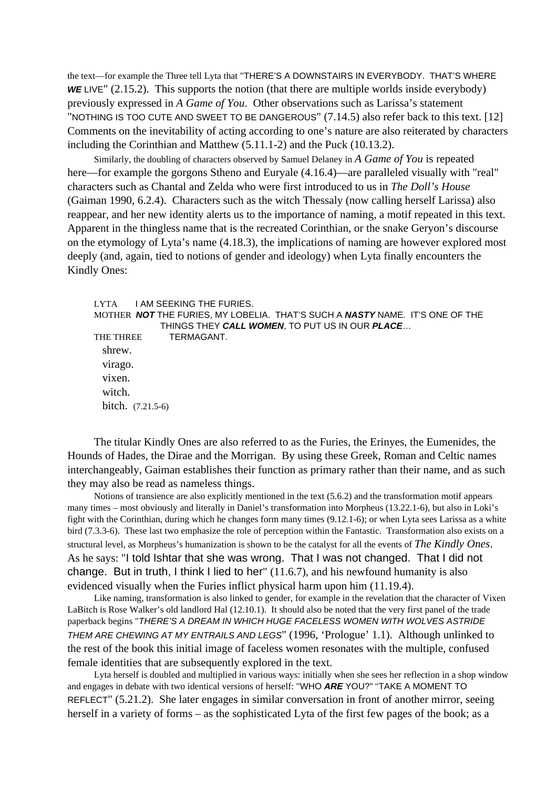the text—for example the Three tell Lyta that "THERE'S A DOWNSTAIRS IN EVERYBODY. THAT'S WHERE WE LIVE" (2.15.2). This supports the notion (that there are multiple worlds inside everybody) previously expressed in *A Game of You*. Other observations such as Larissa's statement "NOTHING IS TOO CUTE AND SWEET TO BE DANGEROUS" (7.14.5) also refer back to this text. [12] Comments on the inevitability of acting according to one's nature are also reiterated by characters including the Corinthian and Matthew (5.11.1-2) and the Puck (10.13.2).

Similarly, the doubling of characters observed by Samuel Delaney in *A Game of You* is repeated here—for example the gorgons Stheno and Euryale (4.16.4)—are paralleled visually with "real" characters such as Chantal and Zelda who were first introduced to us in *The Doll's House* (Gaiman 1990, 6.2.4). Characters such as the witch Thessaly (now calling herself Larissa) also reappear, and her new identity alerts us to the importance of naming, a motif repeated in this text. Apparent in the thingless name that is the recreated Corinthian, or the snake Geryon's discourse on the etymology of Lyta's name (4.18.3), the implications of naming are however explored most deeply (and, again, tied to notions of gender and ideology) when Lyta finally encounters the Kindly Ones:

LYTA I AM SEEKING THE FURIES. MOTHER **NOT** THE FURIES, MY LOBELIA. THAT'S SUCH A **NASTY** NAME. IT'S ONE OF THE THINGS THEY **CALL WOMEN**, TO PUT US IN OUR **PLACE**… THE THREE **TERMAGANT.**  shrew. virago. vixen. witch. bitch. (7.21.5-6)

The titular Kindly Ones are also referred to as the Furies, the Erinyes, the Eumenides, the Hounds of Hades, the Dirae and the Morrigan. By using these Greek, Roman and Celtic names interchangeably, Gaiman establishes their function as primary rather than their name, and as such they may also be read as nameless things.

Notions of transience are also explicitly mentioned in the text (5.6.2) and the transformation motif appears many times – most obviously and literally in Daniel's transformation into Morpheus (13.22.1-6), but also in Loki's fight with the Corinthian, during which he changes form many times (9.12.1-6); or when Lyta sees Larissa as a white bird (7.3.3-6). These last two emphasize the role of perception within the Fantastic. Transformation also exists on a structural level, as Morpheus's humanization is shown to be the catalyst for all the events of *The Kindly Ones*. As he says: "I told Ishtar that she was wrong. That I was not changed. That I did not change. But in truth, I think I lied to her" (11.6.7), and his newfound humanity is also evidenced visually when the Furies inflict physical harm upon him (11.19.4).

Like naming, transformation is also linked to gender, for example in the revelation that the character of Vixen LaBitch is Rose Walker's old landlord Hal (12.10.1). It should also be noted that the very first panel of the trade paperback begins "THERE'S A DREAM IN WHICH HUGE FACELESS WOMEN WITH WOLVES ASTRIDE THEM ARE CHEWING AT MY ENTRAILS AND LEGS" (1996, 'Prologue' 1.1). Although unlinked to the rest of the book this initial image of faceless women resonates with the multiple, confused female identities that are subsequently explored in the text.

Lyta herself is doubled and multiplied in various ways: initially when she sees her reflection in a shop window and engages in debate with two identical versions of herself: "WHO **ARE** YOU?" "TAKE A MOMENT TO REFLECT" (5.21.2). She later engages in similar conversation in front of another mirror, seeing herself in a variety of forms – as the sophisticated Lyta of the first few pages of the book; as a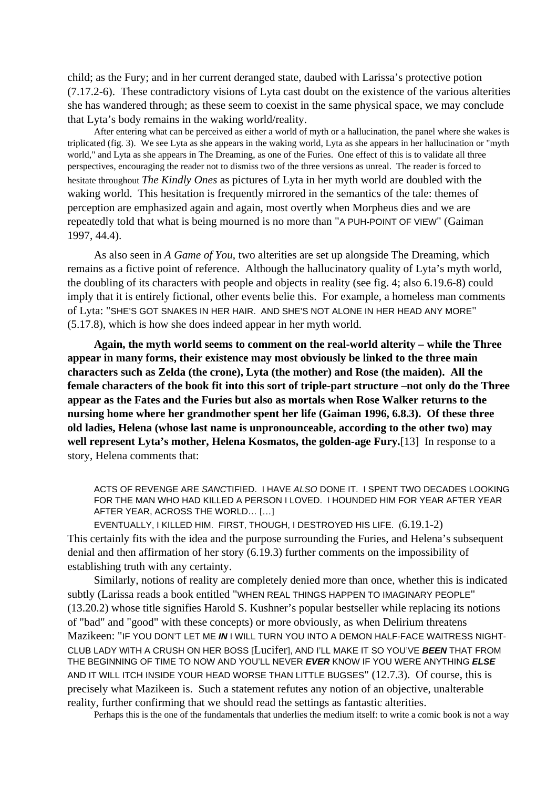child; as the Fury; and in her current deranged state, daubed with Larissa's protective potion (7.17.2-6). These contradictory visions of Lyta cast doubt on the existence of the various alterities she has wandered through; as these seem to coexist in the same physical space, we may conclude that Lyta's body remains in the waking world/reality.

After entering what can be perceived as either a world of myth or a hallucination, the panel where she wakes is triplicated (fig. 3). We see Lyta as she appears in the waking world, Lyta as she appears in her hallucination or "myth world," and Lyta as she appears in The Dreaming, as one of the Furies. One effect of this is to validate all three perspectives, encouraging the reader not to dismiss two of the three versions as unreal. The reader is forced to hesitate throughout *The Kindly Ones* as pictures of Lyta in her myth world are doubled with the waking world. This hesitation is frequently mirrored in the semantics of the tale: themes of perception are emphasized again and again, most overtly when Morpheus dies and we are repeatedly told that what is being mourned is no more than "A PUH-POINT OF VIEW" (Gaiman 1997, 44.4).

As also seen in *A Game of You*, two alterities are set up alongside The Dreaming, which remains as a fictive point of reference. Although the hallucinatory quality of Lyta's myth world, the doubling of its characters with people and objects in reality (see fig. 4; also 6.19.6-8) could imply that it is entirely fictional, other events belie this. For example, a homeless man comments of Lyta: "SHE'S GOT SNAKES IN HER HAIR. AND SHE'S NOT ALONE IN HER HEAD ANY MORE" (5.17.8), which is how she does indeed appear in her myth world.

**Again, the myth world seems to comment on the real-world alterity – while the Three appear in many forms, their existence may most obviously be linked to the three main characters such as Zelda (the crone), Lyta (the mother) and Rose (the maiden). All the female characters of the book fit into this sort of triple-part structure –not only do the Three appear as the Fates and the Furies but also as mortals when Rose Walker returns to the nursing home where her grandmother spent her life (Gaiman 1996, 6.8.3). Of these three old ladies, Helena (whose last name is unpronounceable, according to the other two) may well represent Lyta's mother, Helena Kosmatos, the golden-age Fury.**[13] In response to a story, Helena comments that:

ACTS OF REVENGE ARE SANCTIFIED. I HAVE ALSO DONE IT. I SPENT TWO DECADES LOOKING FOR THE MAN WHO HAD KILLED A PERSON I LOVED. I HOUNDED HIM FOR YEAR AFTER YEAR AFTER YEAR, ACROSS THE WORLD… […]

EVENTUALLY, I KILLED HIM. FIRST, THOUGH, I DESTROYED HIS LIFE. (6.19.1-2) This certainly fits with the idea and the purpose surrounding the Furies, and Helena's subsequent denial and then affirmation of her story (6.19.3) further comments on the impossibility of establishing truth with any certainty.

Similarly, notions of reality are completely denied more than once, whether this is indicated subtly (Larissa reads a book entitled "WHEN REAL THINGS HAPPEN TO IMAGINARY PEOPLE" (13.20.2) whose title signifies Harold S. Kushner's popular bestseller while replacing its notions of "bad" and "good" with these concepts) or more obviously, as when Delirium threatens Mazikeen: "IF YOU DON'T LET ME **IN** I WILL TURN YOU INTO A DEMON HALF-FACE WAITRESS NIGHT-CLUB LADY WITH A CRUSH ON HER BOSS [Lucifer], AND I'LL MAKE IT SO YOU'VE **BEEN** THAT FROM THE BEGINNING OF TIME TO NOW AND YOU'LL NEVER **EVER** KNOW IF YOU WERE ANYTHING **ELSE** AND IT WILL ITCH INSIDE YOUR HEAD WORSE THAN LITTLE BUGSES" (12.7.3). Of course, this is precisely what Mazikeen is. Such a statement refutes any notion of an objective, unalterable reality, further confirming that we should read the settings as fantastic alterities.

Perhaps this is the one of the fundamentals that underlies the medium itself: to write a comic book is not a way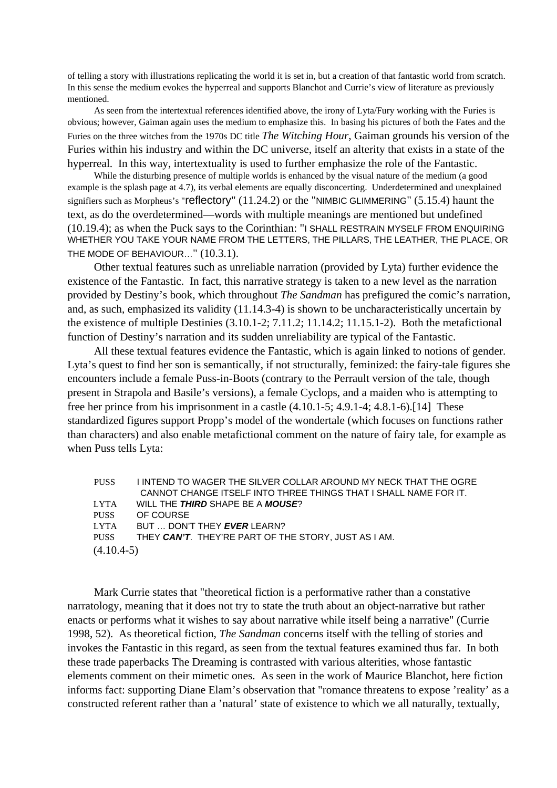of telling a story with illustrations replicating the world it is set in, but a creation of that fantastic world from scratch. In this sense the medium evokes the hyperreal and supports Blanchot and Currie's view of literature as previously mentioned.

As seen from the intertextual references identified above, the irony of Lyta/Fury working with the Furies is obvious; however, Gaiman again uses the medium to emphasize this. In basing his pictures of both the Fates and the Furies on the three witches from the 1970s DC title *The Witching Hour*, Gaiman grounds his version of the Furies within his industry and within the DC universe, itself an alterity that exists in a state of the hyperreal. In this way, intertextuality is used to further emphasize the role of the Fantastic.

While the disturbing presence of multiple worlds is enhanced by the visual nature of the medium (a good example is the splash page at 4.7), its verbal elements are equally disconcerting. Underdetermined and unexplained signifiers such as Morpheus's "reflectory" (11.24.2) or the "NIMBIC GLIMMERING" (5.15.4) haunt the text, as do the overdetermined—words with multiple meanings are mentioned but undefined (10.19.4); as when the Puck says to the Corinthian: "I SHALL RESTRAIN MYSELF FROM ENQUIRING WHETHER YOU TAKE YOUR NAME FROM THE LETTERS, THE PILLARS, THE LEATHER, THE PLACE, OR THE MODE OF BEHAVIOUR..." (10.3.1).

Other textual features such as unreliable narration (provided by Lyta) further evidence the existence of the Fantastic. In fact, this narrative strategy is taken to a new level as the narration provided by Destiny's book, which throughout *The Sandman* has prefigured the comic's narration, and, as such, emphasized its validity (11.14.3-4) is shown to be uncharacteristically uncertain by the existence of multiple Destinies (3.10.1-2; 7.11.2; 11.14.2; 11.15.1-2). Both the metafictional function of Destiny's narration and its sudden unreliability are typical of the Fantastic.

All these textual features evidence the Fantastic, which is again linked to notions of gender. Lyta's quest to find her son is semantically, if not structurally, feminized: the fairy-tale figures she encounters include a female Puss-in-Boots (contrary to the Perrault version of the tale, though present in Strapola and Basile's versions), a female Cyclops, and a maiden who is attempting to free her prince from his imprisonment in a castle (4.10.1-5; 4.9.1-4; 4.8.1-6).[14] These standardized figures support Propp's model of the wondertale (which focuses on functions rather than characters) and also enable metafictional comment on the nature of fairy tale, for example as when Puss tells Lyta:

| <b>PUSS</b>  | I INTEND TO WAGER THE SILVER COLLAR AROUND MY NECK THAT THE OGRE |
|--------------|------------------------------------------------------------------|
|              | CANNOT CHANGE ITSELF INTO THREE THINGS THAT I SHALL NAME FOR IT. |
| <b>LYTA</b>  | WILL THE THIRD SHAPE BE A MOUSE?                                 |
| <b>PUSS</b>  | OF COURSE                                                        |
| <b>LYTA</b>  | BUT  DON'T THEY EVER LEARN?                                      |
| <b>PUSS</b>  | THEY CAN'T. THEY'RE PART OF THE STORY. JUST AS I AM.             |
| $(4.10.4-5)$ |                                                                  |

Mark Currie states that "theoretical fiction is a performative rather than a constative narratology, meaning that it does not try to state the truth about an object-narrative but rather enacts or performs what it wishes to say about narrative while itself being a narrative" (Currie 1998, 52). As theoretical fiction, *The Sandman* concerns itself with the telling of stories and invokes the Fantastic in this regard, as seen from the textual features examined thus far. In both these trade paperbacks The Dreaming is contrasted with various alterities, whose fantastic elements comment on their mimetic ones. As seen in the work of Maurice Blanchot, here fiction informs fact: supporting Diane Elam's observation that "romance threatens to expose 'reality' as a constructed referent rather than a 'natural' state of existence to which we all naturally, textually,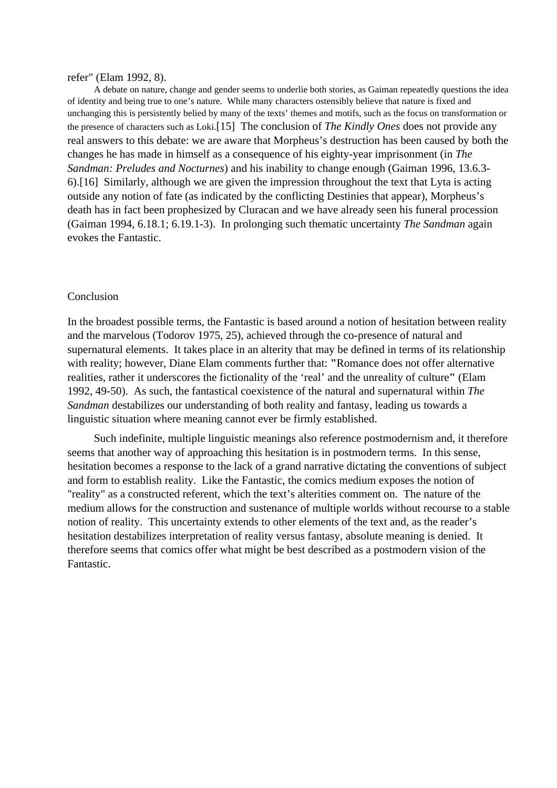#### refer" (Elam 1992, 8).

A debate on nature, change and gender seems to underlie both stories, as Gaiman repeatedly questions the idea of identity and being true to one's nature. While many characters ostensibly believe that nature is fixed and unchanging this is persistently belied by many of the texts' themes and motifs, such as the focus on transformation or the presence of characters such as Loki.[15] The conclusion of *The Kindly Ones* does not provide any real answers to this debate: we are aware that Morpheus's destruction has been caused by both the changes he has made in himself as a consequence of his eighty-year imprisonment (in *The Sandman: Preludes and Nocturnes*) and his inability to change enough (Gaiman 1996, 13.6.3- 6).[16] Similarly, although we are given the impression throughout the text that Lyta is acting outside any notion of fate (as indicated by the conflicting Destinies that appear), Morpheus's death has in fact been prophesized by Cluracan and we have already seen his funeral procession (Gaiman 1994, 6.18.1; 6.19.1-3). In prolonging such thematic uncertainty *The Sandman* again evokes the Fantastic.

### Conclusion

In the broadest possible terms, the Fantastic is based around a notion of hesitation between reality and the marvelous (Todorov 1975, 25), achieved through the co-presence of natural and supernatural elements. It takes place in an alterity that may be defined in terms of its relationship with reality; however, Diane Elam comments further that: **"**Romance does not offer alternative realities, rather it underscores the fictionality of the 'real' and the unreality of culture**"** (Elam 1992, 49-50). As such, the fantastical coexistence of the natural and supernatural within *The Sandman* destabilizes our understanding of both reality and fantasy, leading us towards a linguistic situation where meaning cannot ever be firmly established.

Such indefinite, multiple linguistic meanings also reference postmodernism and, it therefore seems that another way of approaching this hesitation is in postmodern terms. In this sense, hesitation becomes a response to the lack of a grand narrative dictating the conventions of subject and form to establish reality. Like the Fantastic, the comics medium exposes the notion of "reality" as a constructed referent, which the text's alterities comment on. The nature of the medium allows for the construction and sustenance of multiple worlds without recourse to a stable notion of reality. This uncertainty extends to other elements of the text and, as the reader's hesitation destabilizes interpretation of reality versus fantasy, absolute meaning is denied. It therefore seems that comics offer what might be best described as a postmodern vision of the Fantastic.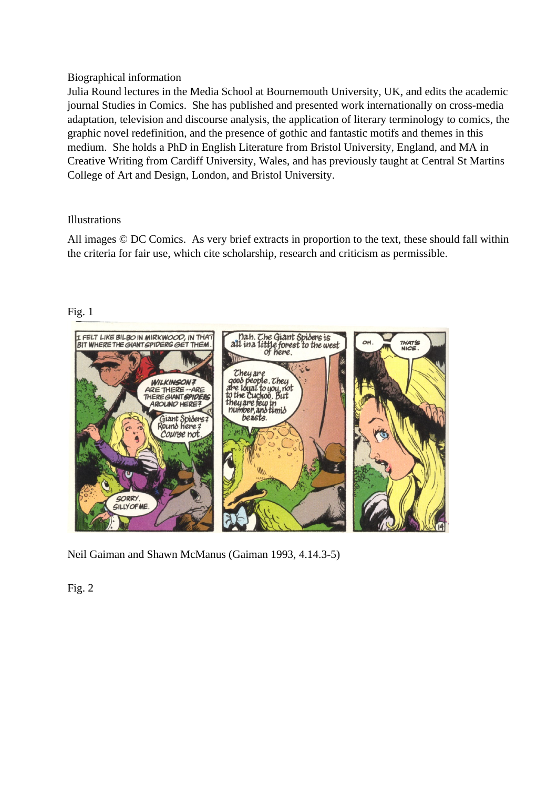## Biographical information

Julia Round lectures in the Media School at Bournemouth University, UK, and edits the academic journal Studies in Comics. She has published and presented work internationally on cross-media adaptation, television and discourse analysis, the application of literary terminology to comics, the graphic novel redefinition, and the presence of gothic and fantastic motifs and themes in this medium. She holds a PhD in English Literature from Bristol University, England, and MA in Creative Writing from Cardiff University, Wales, and has previously taught at Central St Martins College of Art and Design, London, and Bristol University.

# Illustrations

All images © DC Comics. As very brief extracts in proportion to the text, these should fall within the criteria for fair use, which cite scholarship, research and criticism as permissible.



# Fig. 1

Neil Gaiman and Shawn McManus (Gaiman 1993, 4.14.3-5)

Fig. 2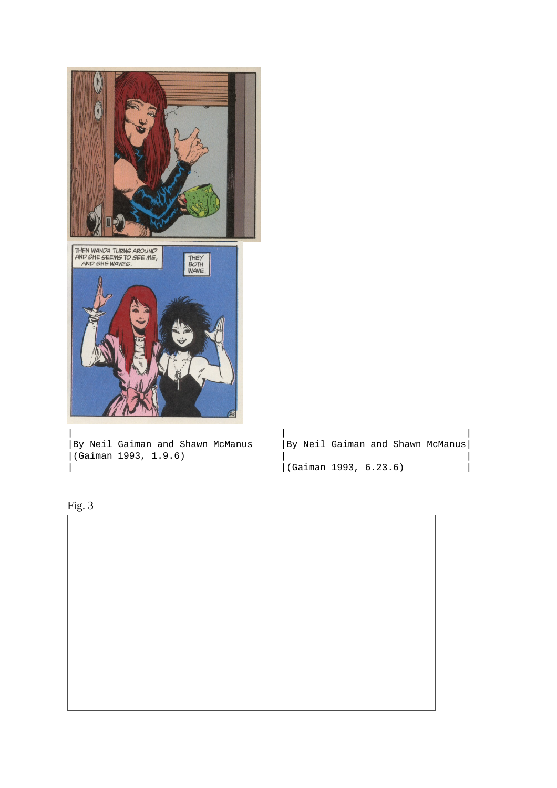

 $|($ Gaiman 1993, 1.9.6 $)$ 

| By Neil Gaiman and Shawn McManus | By Neil Gaiman and Shawn McManus| |<br>| (Gaiman 1993, 6.23.6)



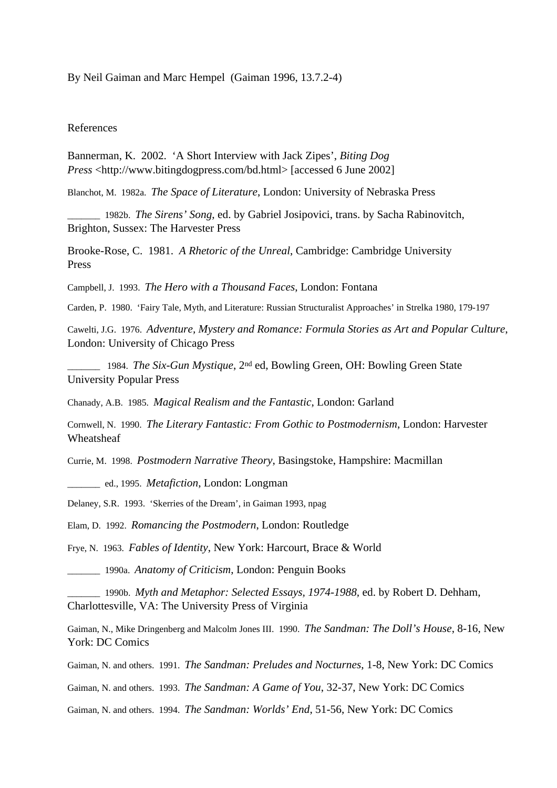By Neil Gaiman and Marc Hempel (Gaiman 1996, 13.7.2-4)

### References

Bannerman, K. 2002. 'A Short Interview with Jack Zipes', *Biting Dog Press* <http://www.bitingdogpress.com/bd.html> [accessed 6 June 2002]

Blanchot, M. 1982a. *The Space of Literature*, London: University of Nebraska Press

\_\_\_\_\_\_\_ 1982b. *The Sirens' Song*, ed. by Gabriel Josipovici, trans. by Sacha Rabinovitch, Brighton, Sussex: The Harvester Press

Brooke-Rose, C. 1981. *A Rhetoric of the Unreal*, Cambridge: Cambridge University Press

Campbell, J. 1993. *The Hero with a Thousand Faces*, London: Fontana

Carden, P. 1980. 'Fairy Tale, Myth, and Literature: Russian Structuralist Approaches' in Strelka 1980, 179-197

Cawelti, J.G. 1976. *Adventure, Mystery and Romance: Formula Stories as Art and Popular Culture*, London: University of Chicago Press

\_\_\_\_\_\_\_ 1984. *The Six-Gun Mystique*, 2nd ed, Bowling Green, OH: Bowling Green State University Popular Press

Chanady, A.B. 1985. *Magical Realism and the Fantastic*, London: Garland

Cornwell, N. 1990. *The Literary Fantastic: From Gothic to Postmodernism*, London: Harvester **Wheatsheaf** 

Currie, M. 1998. *Postmodern Narrative Theory*, Basingstoke, Hampshire: Macmillan

\_\_\_\_\_\_\_ ed., 1995. *Metafiction*, London: Longman

Delaney, S.R. 1993. 'Skerries of the Dream', in Gaiman 1993, npag

Elam, D. 1992. *Romancing the Postmodern*, London: Routledge

Frye, N. 1963. *Fables of Identity*, New York: Harcourt, Brace & World

\_\_\_\_\_\_\_ 1990a. *Anatomy of Criticism*, London: Penguin Books

\_\_\_\_\_\_\_ 1990b. *Myth and Metaphor: Selected Essays, 1974-1988,* ed. by Robert D. Dehham, Charlottesville, VA: The University Press of Virginia

Gaiman, N., Mike Dringenberg and Malcolm Jones III. 1990. *The Sandman: The Doll's House*, 8-16, New York: DC Comics

Gaiman, N. and others. 1991. *The Sandman: Preludes and Nocturnes*, 1-8, New York: DC Comics

Gaiman, N. and others. 1993. *The Sandman: A Game of You*, 32-37, New York: DC Comics

Gaiman, N. and others. 1994. *The Sandman: Worlds' End*, 51-56, New York: DC Comics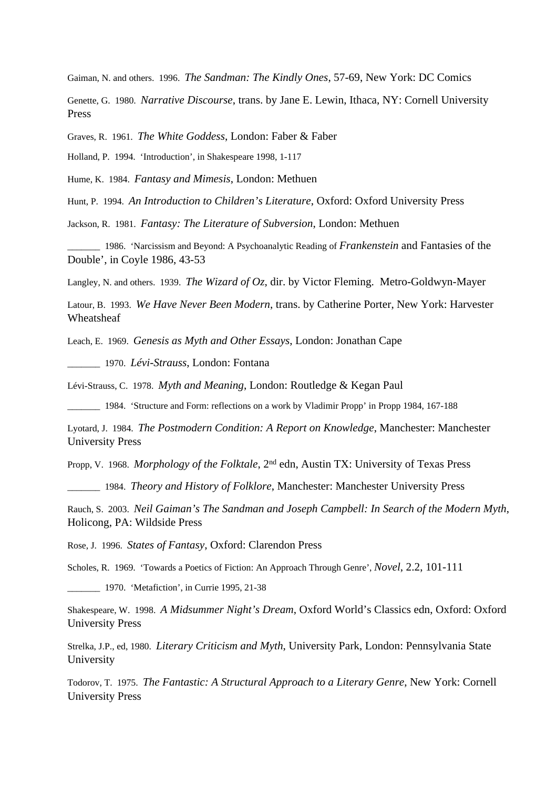Gaiman, N. and others. 1996. *The Sandman: The Kindly Ones*, 57-69, New York: DC Comics

Genette, G. 1980. *Narrative Discourse*, trans. by Jane E. Lewin, Ithaca, NY: Cornell University Press

Graves, R. 1961. *The White Goddess*, London: Faber & Faber

Holland, P. 1994. 'Introduction', in Shakespeare 1998, 1-117

Hume, K. 1984. *Fantasy and Mimesis*, London: Methuen

Hunt, P. 1994. *An Introduction to Children's Literature*, Oxford: Oxford University Press

Jackson, R. 1981. *Fantasy: The Literature of Subversion*, London: Methuen

\_\_\_\_\_\_\_ 1986. 'Narcissism and Beyond: A Psychoanalytic Reading of *Frankenstein* and Fantasies of the Double', in Coyle 1986, 43-53

Langley, N. and others. 1939. *The Wizard of Oz*, dir. by Victor Fleming. Metro-Goldwyn-Mayer

Latour, B. 1993. *We Have Never Been Modern*, trans. by Catherine Porter, New York: Harvester Wheatsheaf

Leach, E. 1969. *Genesis as Myth and Other Essays*, London: Jonathan Cape

\_\_\_\_\_\_\_ 1970. *Lévi-Strauss*, London: Fontana

Lévi-Strauss, C. 1978. *Myth and Meaning*, London: Routledge & Kegan Paul

\_\_\_\_\_\_\_ 1984. 'Structure and Form: reflections on a work by Vladimir Propp' in Propp 1984, 167-188

Lyotard, J. 1984. *The Postmodern Condition: A Report on Knowledge*, Manchester: Manchester University Press

Propp, V. 1968. *Morphology of the Folktale*, 2nd edn, Austin TX: University of Texas Press

\_\_\_\_\_\_\_ 1984. *Theory and History of Folklore*, Manchester: Manchester University Press

Rauch, S. 2003. *Neil Gaiman's The Sandman and Joseph Campbell: In Search of the Modern Myth*, Holicong, PA: Wildside Press

Rose, J. 1996. *States of Fantasy*, Oxford: Clarendon Press

Scholes, R. 1969. 'Towards a Poetics of Fiction: An Approach Through Genre', *Novel*, 2.2, 101-111

\_\_\_\_\_\_\_ 1970. 'Metafiction', in Currie 1995, 21-38

Shakespeare, W. 1998. *A Midsummer Night's Dream*, Oxford World's Classics edn, Oxford: Oxford University Press

Strelka, J.P., ed, 1980. *Literary Criticism and Myth*, University Park, London: Pennsylvania State University

Todorov, T. 1975. *The Fantastic: A Structural Approach to a Literary Genre*, New York: Cornell University Press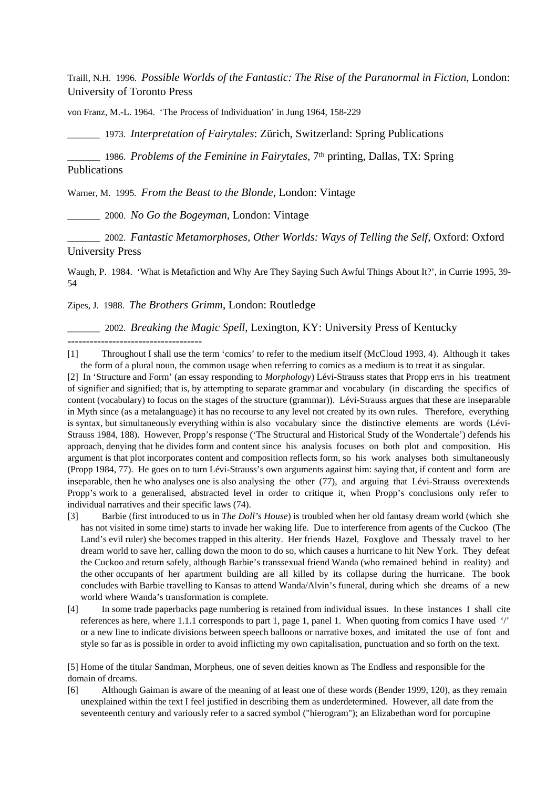Traill, N.H. 1996. *Possible Worlds of the Fantastic: The Rise of the Paranormal in Fiction*, London: University of Toronto Press

von Franz, M.-L. 1964. 'The Process of Individuation' in Jung 1964, 158-229

\_\_\_\_\_\_\_ 1973. *Interpretation of Fairytales*: Zürich, Switzerland: Spring Publications

\_\_\_\_\_\_\_ 1986. *Problems of the Feminine in Fairytales*, 7th printing, Dallas, TX: Spring Publications

Warner, M. 1995. *From the Beast to the Blonde*, London: Vintage

\_\_\_\_\_\_\_ 2000. *No Go the Bogeyman*, London: Vintage

\_\_\_\_\_\_\_ 2002. *Fantastic Metamorphoses, Other Worlds: Ways of Telling the Self*, Oxford: Oxford University Press

Waugh, P. 1984. 'What is Metafiction and Why Are They Saying Such Awful Things About It?', in Currie 1995, 39- 54

Zipes, J. 1988. *The Brothers Grimm*, London: Routledge

------------------------------------

\_\_\_\_\_\_\_ 2002. *Breaking the Magic Spell*, Lexington, KY: University Press of Kentucky

[1] Throughout I shall use the term 'comics' to refer to the medium itself (McCloud 1993, 4). Although it takes the form of a plural noun, the common usage when referring to comics as a medium is to treat it as singular.

[2] In 'Structure and Form' (an essay responding to *Morphology*) Lévi-Strauss states that Propp errs in his treatment of signifier and signified; that is, by attempting to separate grammar and vocabulary (in discarding the specifics of content (vocabulary) to focus on the stages of the structure (grammar)). Lévi-Strauss argues that these are inseparable in Myth since (as a metalanguage) it has no recourse to any level not created by its own rules. Therefore, everything is syntax, but simultaneously everything within is also vocabulary since the distinctive elements are words (Lévi-Strauss 1984, 188). However, Propp's response ('The Structural and Historical Study of the Wondertale') defends his approach, denying that he divides form and content since his analysis focuses on both plot and composition. His argument is that plot incorporates content and composition reflects form, so his work analyses both simultaneously (Propp 1984, 77). He goes on to turn Lévi-Strauss's own arguments against him: saying that, if content and form are inseparable, then he who analyses one is also analysing the other (77), and arguing that Lévi-Strauss overextends Propp's work to a generalised, abstracted level in order to critique it, when Propp's conclusions only refer to individual narratives and their specific laws (74).

[3] Barbie (first introduced to us in *The Doll's House*) is troubled when her old fantasy dream world (which she has not visited in some time) starts to invade her waking life. Due to interference from agents of the Cuckoo (The Land's evil ruler) she becomes trapped in this alterity. Her friends Hazel, Foxglove and Thessaly travel to her dream world to save her, calling down the moon to do so, which causes a hurricane to hit New York. They defeat the Cuckoo and return safely, although Barbie's transsexual friend Wanda (who remained behind in reality) and the other occupants of her apartment building are all killed by its collapse during the hurricane. The book concludes with Barbie travelling to Kansas to attend Wanda/Alvin's funeral, during which she dreams of a new world where Wanda's transformation is complete.

[4] In some trade paperbacks page numbering is retained from individual issues. In these instances I shall cite references as here, where 1.1.1 corresponds to part 1, page 1, panel 1. When quoting from comics I have used '/' or a new line to indicate divisions between speech balloons or narrative boxes, and imitated the use of font and style so far as is possible in order to avoid inflicting my own capitalisation, punctuation and so forth on the text.

[5] Home of the titular Sandman, Morpheus, one of seven deities known as The Endless and responsible for the domain of dreams.

[6] Although Gaiman is aware of the meaning of at least one of these words (Bender 1999, 120), as they remain unexplained within the text I feel justified in describing them as underdetermined. However, all date from the seventeenth century and variously refer to a sacred symbol ("hierogram"); an Elizabethan word for porcupine